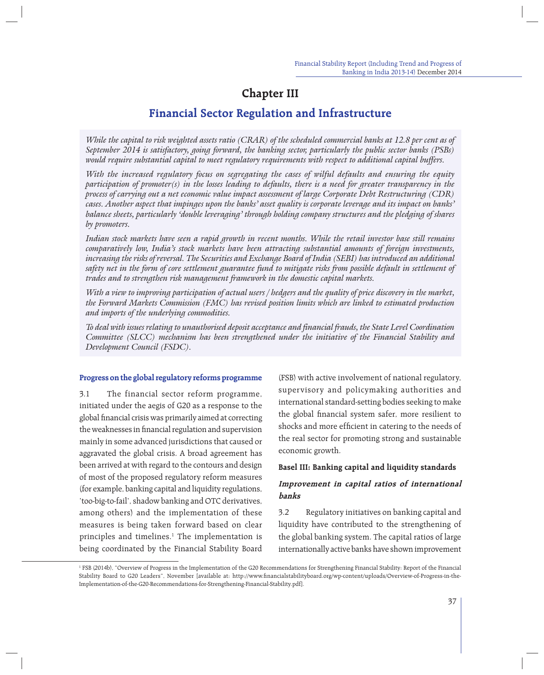# **Chapter III**

# **Financial Sector Regulation and Infrastructure**

*While the capital to risk weighted assets ratio (CRAR) of the scheduled commercial banks at 12.8 per cent as of September 2014 is satisfactory, going forward, the banking sector, particularly the public sector banks (PSBs) would require substantial capital to meet regulatory requirements with respect to additional capital buffers.* 

*With the increased regulatory focus on segregating the cases of wilful defaults and ensuring the equity*  participation of promoter(s) in the losses leading to defaults, there is a need for greater transparency in the *process of carrying out a net economic value impact assessment of large Corporate Debt Restructuring (CDR) cases. Another aspect that impinges upon the banks' asset quality is corporate leverage and its impact on banks' balance sheets, particularly 'double leveraging' through holding company structures and the pledging of shares by promoters.*

*Indian stock markets have seen a rapid growth in recent months. While the retail investor base still remains comparatively low, India's stock markets have been attracting substantial amounts of foreign investments, increasing the risks of reversal. The Securities and Exchange Board of India (SEBI) has introduced an additional safety net in the form of core settlement guarantee fund to mitigate risks from possible default in settlement of trades and to strengthen risk management framework in the domestic capital markets.*

*With a view to improving participation of actual users / hedgers and the quality of price discovery in the market, the Forward Markets Commission (FMC) has revised position limits which are linked to estimated production and imports of the underlying commodities.*

*To deal with issues relating to unauthorised deposit acceptance and financial frauds, the State Level Coordination Committee (SLCC) mechanism has been strengthened under the initiative of the Financial Stability and Development Council (FSDC).*

### **Progress on the global regulatory reforms programme**

3.1 The financial sector reform programme, initiated under the aegis of G20 as a response to the global financial crisis was primarily aimed at correcting the weaknesses in financial regulation and supervision mainly in some advanced jurisdictions that caused or aggravated the global crisis. A broad agreement has been arrived at with regard to the contours and design of most of the proposed regulatory reform measures (for example, banking capital and liquidity regulations, 'too-big-to-fail', shadow banking and OTC derivatives, among others) and the implementation of these measures is being taken forward based on clear principles and timelines.<sup>1</sup> The implementation is being coordinated by the Financial Stability Board

(FSB) with active involvement of national regulatory, supervisory and policymaking authorities and international standard-setting bodies seeking to make the global financial system safer, more resilient to shocks and more efficient in catering to the needs of the real sector for promoting strong and sustainable economic growth.

### **Basel III: Banking capital and liquidity standards**

## **Improvement in capital ratios of international banks**

3.2 Regulatory initiatives on banking capital and liquidity have contributed to the strengthening of the global banking system. The capital ratios of large internationally active banks have shown improvement

<sup>1</sup> FSB (2014b), "Overview of Progress in the Implementation of the G20 Recommendations for Strengthening Financial Stability: Report of the Financial Stability Board to G20 Leaders", November [available at: http://www.financialstabilityboard.org/wp-content/uploads/Overview-of-Progress-in-the-Implementation-of-the-G20-Recommendations-for-Strengthening-Financial-Stability.pdf].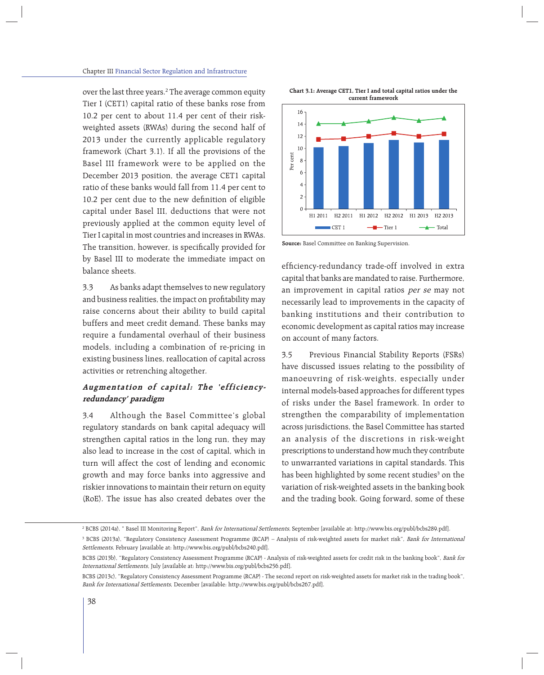over the last three years.<sup>2</sup> The average common equity Tier I (CET1) capital ratio of these banks rose from 10.2 per cent to about 11.4 per cent of their riskweighted assets (RWAs) during the second half of 2013 under the currently applicable regulatory framework (Chart 3.1). If all the provisions of the Basel III framework were to be applied on the December 2013 position, the average CET1 capital ratio of these banks would fall from 11.4 per cent to 10.2 per cent due to the new definition of eligible capital under Basel III, deductions that were not previously applied at the common equity level of Tier I capital in most countries and increases in RWAs. The transition, however, is specifically provided for by Basel III to moderate the immediate impact on balance sheets.

3.3 As banks adapt themselves to new regulatory and business realities, the impact on profitability may raise concerns about their ability to build capital buffers and meet credit demand. These banks may require a fundamental overhaul of their business models, including a combination of re-pricing in existing business lines, reallocation of capital across activities or retrenching altogether.

## **Augmentation of capital: The 'efficiencyredundancy' paradigm**

3.4 Although the Basel Committee's global regulatory standards on bank capital adequacy will strengthen capital ratios in the long run, they may also lead to increase in the cost of capital, which in turn will affect the cost of lending and economic growth and may force banks into aggressive and riskier innovations to maintain their return on equity (RoE). The issue has also created debates over the





**Source:** Basel Committee on Banking Supervision.

efficiency-redundancy trade-off involved in extra capital that banks are mandated to raise. Furthermore, an improvement in capital ratios per se may not necessarily lead to improvements in the capacity of banking institutions and their contribution to economic development as capital ratios may increase on account of many factors.

3.5 Previous Financial Stability Reports (FSRs) have discussed issues relating to the possibility of manoeuvring of risk-weights, especially under internal models-based approaches for different types of risks under the Basel framework. In order to strengthen the comparability of implementation across jurisdictions, the Basel Committee has started an analysis of the discretions in risk-weight prescriptions to understand how much they contribute to unwarranted variations in capital standards. This has been highlighted by some recent studies<sup>3</sup> on the variation of risk-weighted assets in the banking book and the trading book. Going forward, some of these

<sup>&</sup>lt;sup>2</sup> BCBS (2014a), " Basel III Monitoring Report", *Bank for International Settlements,* September [available at: http://www.bis.org/publ/bcbs289.pdf]*.* 

<sup>&</sup>lt;sup>3</sup> BCBS (2013a), "Regulatory Consistency Assessment Programme (RCAP) – Analysis of risk-weighted assets for market risk", *Bank for International* Settlements, February [available at: http://www.bis.org/publ/bcbs240.pdf].

BCBS (2013b), "Regulatory Consistency Assessment Programme (RCAP) - Analysis of risk-weighted assets for credit risk in the banking book", Bank for International Settlements, July [available at: http://www.bis.org/publ/bcbs256.pdf].

BCBS (2013c), "Regulatory Consistency Assessment Programme (RCAP) - The second report on risk-weighted assets for market risk in the trading book", Bank for International Settlements, December [available: http://www.bis.org/publ/bcbs267.pdf].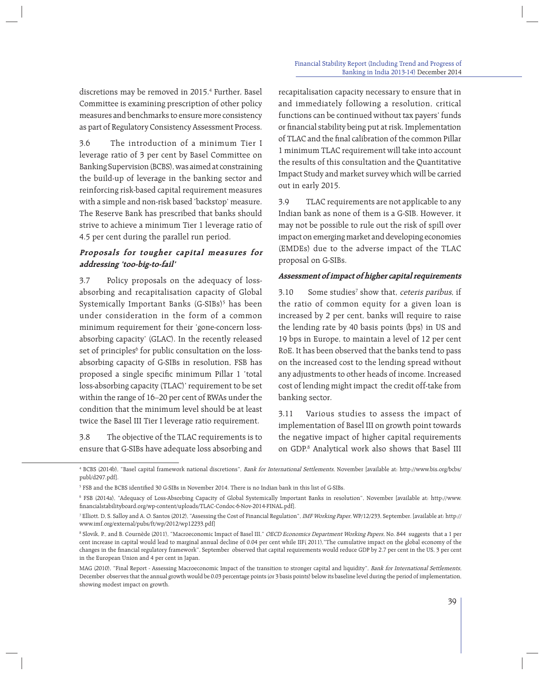discretions may be removed in 2015.4 Further, Basel Committee is examining prescription of other policy measures and benchmarks to ensure more consistency as part of Regulatory Consistency Assessment Process.

3.6 The introduction of a minimum Tier I leverage ratio of 3 per cent by Basel Committee on Banking Supervision (BCBS), was aimed at constraining the build-up of leverage in the banking sector and reinforcing risk-based capital requirement measures with a simple and non-risk based 'backstop' measure. The Reserve Bank has prescribed that banks should strive to achieve a minimum Tier 1 leverage ratio of 4.5 per cent during the parallel run period.

## **Proposals for tougher capital measures for addressing 'too-big-to-fail'**

3.7 Policy proposals on the adequacy of lossabsorbing and recapitalisation capacity of Global Systemically Important Banks (G-SIBs)5 has been under consideration in the form of a common minimum requirement for their 'gone-concern lossabsorbing capacity' (GLAC). In the recently released set of principles<sup>6</sup> for public consultation on the lossabsorbing capacity of G-SIBs in resolution, FSB has proposed a single specific minimum Pillar 1 'total loss-absorbing capacity (TLAC)' requirement to be set within the range of 16–20 per cent of RWAs under the condition that the minimum level should be at least twice the Basel III Tier I leverage ratio requirement.

3.8 The objective of the TLAC requirements is to ensure that G-SIBs have adequate loss absorbing and

recapitalisation capacity necessary to ensure that in and immediately following a resolution, critical functions can be continued without tax payers' funds or financial stability being put at risk. Implementation of TLAC and the final calibration of the common Pillar 1 minimum TLAC requirement will take into account the results of this consultation and the Quantitative Impact Study and market survey which will be carried out in early 2015.

3.9 TLAC requirements are not applicable to any Indian bank as none of them is a G-SIB. However, it may not be possible to rule out the risk of spill over impact on emerging market and developing economies (EMDEs) due to the adverse impact of the TLAC proposal on G-SIBs.

## **Assessment of impact of higher capital requirements**

3.10 Some studies<sup>7</sup> show that, *ceteris paribus*, if the ratio of common equity for a given loan is increased by 2 per cent, banks will require to raise the lending rate by 40 basis points (bps) in US and 19 bps in Europe, to maintain a level of 12 per cent RoE. It has been observed that the banks tend to pass on the increased cost to the lending spread without any adjustments to other heads of income. Increased cost of lending might impact the credit off-take from banking sector.

3.11 Various studies to assess the impact of implementation of Basel III on growth point towards the negative impact of higher capital requirements on GDP.8 Analytical work also shows that Basel III

<sup>&</sup>lt;sup>4</sup> BCBS (2014b), "Basel capital framework national discretions", *Bank for International Settlements,* November [available at: http://www.bis.org/bcbs/ publ/d297.pdf].

<sup>&</sup>lt;sup>5</sup> FSB and the BCBS identified 30 G-SIBs in November 2014. There is no Indian bank in this list of G-SIBs.

<sup>6</sup> FSB (2014a), "Adequacy of Loss-Absorbing Capacity of Global Systemically Important Banks in resolution", November [available at: http://www. financialstabilityboard.org/wp-content/uploads/TLAC-Condoc-6-Nov-2014-FINAL.pdf].

<sup>&</sup>lt;sup>7</sup> Elliott. D, S. Salloy and A. O. Santos (2012), "Assessing the Cost of Financial Regulation", *IMF Working Paper,* WP/12/233, September. [available at: http:// www.imf.org/external/pubs/ft/wp/2012/wp12233.pdf]

<sup>&</sup>lt;sup>8</sup> Slovik, P., and B. Cournède (2011), "Macroeconomic Impact of Basel III," *OECD Economics Department Working Papers,* No. 844 suggests that a 1 per cent increase in capital would lead to marginal annual decline of 0.04 per cent while IIF( 2011),"The cumulative impact on the global economy of the changes in the financial regulatory framework", September observed that capital requirements would reduce GDP by 2.7 per cent in the US, 3 per cent in the European Union and 4 per cent in Japan.

MAG (2010), "Final Report - Assessing Macroeconomic Impact of the transition to stronger capital and liquidity", Bank for International Settlements, December observes that the annual growth would be 0.03 percentage points (or 3 basis points) below its baseline level during the period of implementation, showing modest impact on growth.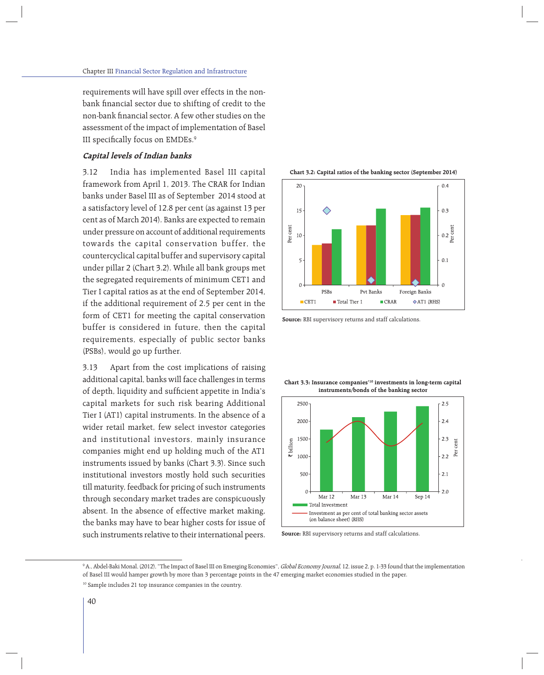requirements will have spill over effects in the nonbank financial sector due to shifting of credit to the non-bank financial sector. A few other studies on the assessment of the impact of implementation of Basel III specifically focus on EMDEs. $9$ 

## **Capital levels of Indian banks**

3.12 India has implemented Basel III capital framework from April 1, 2013. The CRAR for Indian banks under Basel III as of September 2014 stood at a satisfactory level of 12.8 per cent (as against 13 per cent as of March 2014). Banks are expected to remain under pressure on account of additional requirements towards the capital conservation buffer, the countercyclical capital buffer and supervisory capital under pillar 2 (Chart 3.2). While all bank groups met the segregated requirements of minimum CET1 and Tier I capital ratios as at the end of September 2014, if the additional requirement of 2.5 per cent in the form of CET1 for meeting the capital conservation buffer is considered in future, then the capital requirements, especially of public sector banks (PSBs), would go up further.

3.13 Apart from the cost implications of raising additional capital, banks will face challenges in terms of depth, liquidity and sufficient appetite in India's capital markets for such risk bearing Additional Tier I (AT1) capital instruments. In the absence of a wider retail market, few select investor categories and institutional investors, mainly insurance companies might end up holding much of the AT1 instruments issued by banks (Chart 3.3). Since such institutional investors mostly hold such securities till maturity, feedback for pricing of such instruments through secondary market trades are conspicuously absent. In the absence of effective market making, the banks may have to bear higher costs for issue of such instruments relative to their international peers.

**Chart 3.2: Capital ratios of the banking sector (September 2014)**



**Source:** RBI supervisory returns and staff calculations.

**Chart 3.3: Insurance companies'10 investments in long-term capital instruments/bonds of the banking sector**



**Source:** RBI supervisory returns and staff calculations.

<sup>&</sup>lt;sup>9</sup> A., Abdel-Baki Monal, (2012), "The Impact of Basel III on Emerging Economies", *Global Economy Journal,* 12, issue 2, p. 1-33 found that the implementation of Basel III would hamper growth by more than 3 percentage points in the 47 emerging market economies studied in the paper. <sup>10</sup> Sample includes 21 top insurance companies in the country.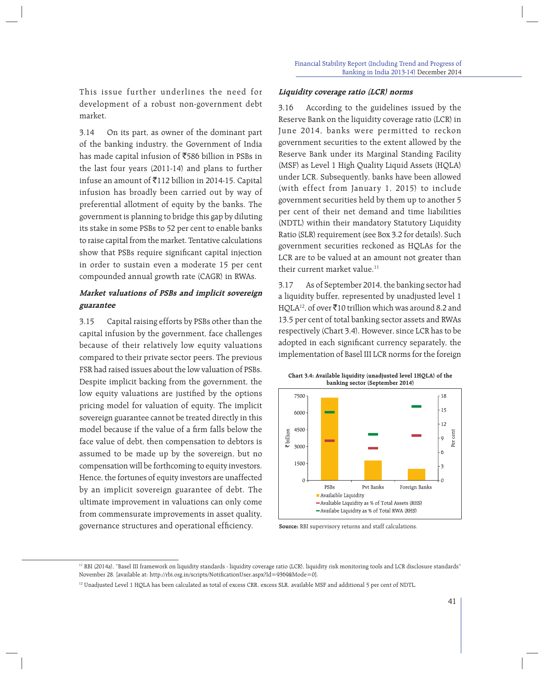This issue further underlines the need for development of a robust non-government debt market.

3.14 On its part, as owner of the dominant part of the banking industry, the Government of India has made capital infusion of  $\overline{5}586$  billion in PSBs in the last four years (2011-14) and plans to further infuse an amount of  $\bar{z}$ 112 billion in 2014-15. Capital infusion has broadly been carried out by way of preferential allotment of equity by the banks. The government is planning to bridge this gap by diluting its stake in some PSBs to 52 per cent to enable banks to raise capital from the market. Tentative calculations show that PSBs require significant capital injection in order to sustain even a moderate 15 per cent compounded annual growth rate (CAGR) in RWAs.

## **Market valuations of PSBs and implicit sovereign guarantee**

3.15 Capital raising efforts by PSBs other than the capital infusion by the government, face challenges because of their relatively low equity valuations compared to their private sector peers. The previous FSR had raised issues about the low valuation of PSBs. Despite implicit backing from the government, the low equity valuations are justified by the options pricing model for valuation of equity. The implicit sovereign guarantee cannot be treated directly in this model because if the value of a firm falls below the face value of debt, then compensation to debtors is assumed to be made up by the sovereign, but no compensation will be forthcoming to equity investors. Hence, the fortunes of equity investors are unaffected by an implicit sovereign guarantee of debt. The ultimate improvement in valuations can only come from commensurate improvements in asset quality, governance structures and operational efficiency.

### **Liquidity coverage ratio (LCR) norms**

3.16 According to the guidelines issued by the Reserve Bank on the liquidity coverage ratio (LCR) in June 2014, banks were permitted to reckon government securities to the extent allowed by the Reserve Bank under its Marginal Standing Facility (MSF) as Level 1 High Quality Liquid Assets (HQLA) under LCR. Subsequently, banks have been allowed (with effect from January 1, 2015) to include government securities held by them up to another 5 per cent of their net demand and time liabilities (NDTL) within their mandatory Statutory Liquidity Ratio (SLR) requirement (see Box 3.2 for details). Such government securities reckoned as HQLAs for the LCR are to be valued at an amount not greater than their current market value.<sup>11</sup>

3.17 As of September 2014, the banking sector had a liquidity buffer, represented by unadjusted level 1 HQLA<sup>12</sup>, of over  $\bar{x}$ 10 trillion which was around 8.2 and 13.5 per cent of total banking sector assets and RWAs respectively (Chart 3.4). However, since LCR has to be adopted in each significant currency separately, the implementation of Basel III LCR norms for the foreign



**Source:** RBI supervisory returns and staff calculations.

<sup>&</sup>lt;sup>11</sup> RBI (2014a), "Basel III framework on liquidity standards - liquidity coverage ratio (LCR), liquidity risk monitoring tools and LCR disclosure standards" November 28. [available at: http://rbi.org.in/scripts/NotificationUser.aspx?Id=9369&Mode=0].

<sup>&</sup>lt;sup>12</sup> Unadjusted Level 1 HQLA has been calculated as total of excess CRR, excess SLR, available MSF and additional 5 per cent of NDTL.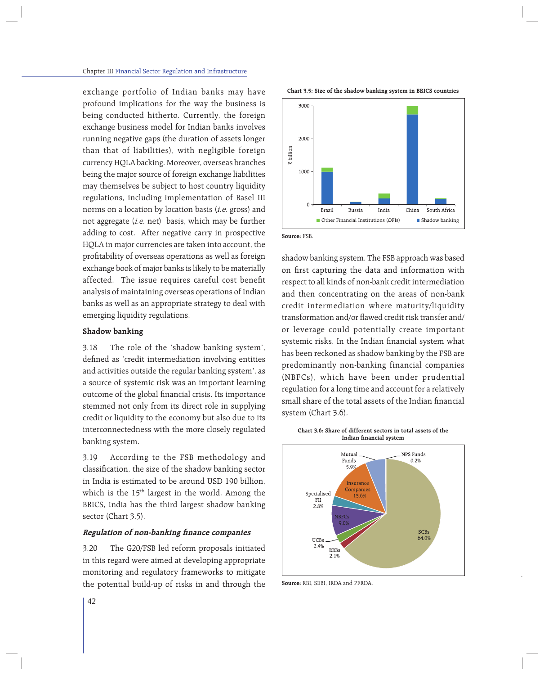exchange portfolio of Indian banks may have profound implications for the way the business is being conducted hitherto. Currently, the foreign exchange business model for Indian banks involves running negative gaps (the duration of assets longer than that of liabilities), with negligible foreign currency HQLA backing. Moreover, overseas branches being the major source of foreign exchange liabilities may themselves be subject to host country liquidity regulations, including implementation of Basel III norms on a location by location basis (i.e. gross) and not aggregate (i.e. net) basis, which may be further adding to cost. After negative carry in prospective HQLA in major currencies are taken into account, the profitability of overseas operations as well as foreign exchange book of major banks is likely to be materially affected. The issue requires careful cost benefit analysis of maintaining overseas operations of Indian banks as well as an appropriate strategy to deal with emerging liquidity regulations.

## **Shadow banking**

3.18 The role of the 'shadow banking system', defined as 'credit intermediation involving entities and activities outside the regular banking system', as a source of systemic risk was an important learning outcome of the global financial crisis. Its importance stemmed not only from its direct role in supplying credit or liquidity to the economy but also due to its interconnectedness with the more closely regulated banking system.

3.19 According to the FSB methodology and classification, the size of the shadow banking sector in India is estimated to be around USD 190 billion, which is the 15<sup>th</sup> largest in the world. Among the BRICS, India has the third largest shadow banking sector (Chart 3.5).

### **Regulation of non-banking finance companies**

3.20 The G20/FSB led reform proposals initiated in this regard were aimed at developing appropriate monitoring and regulatory frameworks to mitigate the potential build-up of risks in and through the





**Source:** FSB.

shadow banking system. The FSB approach was based on first capturing the data and information with respect to all kinds of non-bank credit intermediation and then concentrating on the areas of non-bank credit intermediation where maturity/liquidity transformation and/or flawed credit risk transfer and/ or leverage could potentially create important systemic risks. In the Indian financial system what has been reckoned as shadow banking by the FSB are predominantly non-banking financial companies (NBFCs), which have been under prudential regulation for a long time and account for a relatively small share of the total assets of the Indian financial system (Chart 3.6).

**Chart 3.6: Share of different sectors in total assets of the Indian financial system** 



**Source:** RBI, SEBI, IRDA and PFRDA.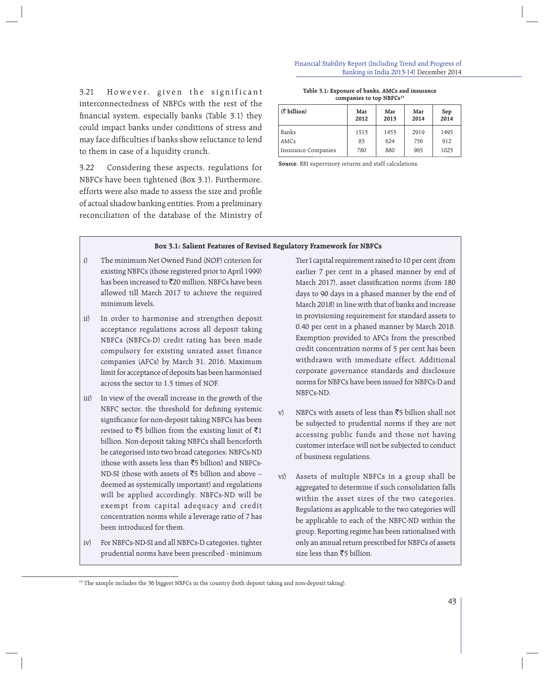#### Financial Stability Report (Including Trend and Progress of Banking in India 2013-14) December 2014

3.21 However, given the significant interconnectedness of NBFCs with the rest of the financial system, especially banks (Table 3.1) they could impact banks under conditions of stress and may face difficulties if banks show reluctance to lend to them in case of a liquidity crunch.

3.22 Considering these aspects, regulations for NBFCs have been tightened (Box 3.1). Furthermore, efforts were also made to assess the size and profile of actual shadow banking entities. From a preliminary reconciliation of the database of the Ministry of

#### **Table 3.1: Exposure of banks, AMCs and insurance companies to top NBFCs13**

| $(\bar{z}$ billion) | Mar<br>2012 | Mar<br>2013 | Mar<br>2014 | Sep<br>2014 |
|---------------------|-------------|-------------|-------------|-------------|
| Banks               | 1513        | 1453        | 2919        | 1495        |
| <b>AMCs</b>         | 83          | 624         | 756         | 912         |
| Insurance Companies | 780         | 880         | 965         | 1023        |

**Source**: RBI supervisory returns and staff calculations.

### **Box 3.1: Salient Features of Revised Regulatory Framework for NBFCs**

- i) The minimum Net Owned Fund (NOF) criterion for existing NBFCs (those registered prior to April 1999) has been increased to  $\bar{z}$ 20 million. NBFCs have been allowed till March 2017 to achieve the required minimum levels.
- ii) In order to harmonise and strengthen deposit acceptance regulations across all deposit taking NBFCs (NBFCs-D) credit rating has been made compulsory for existing unrated asset finance companies (AFCs) by March 31, 2016. Maximum limit for acceptance of deposits has been harmonised across the sector to 1.5 times of NOF.
- iii) In view of the overall increase in the growth of the NBFC sector, the threshold for defining systemic significance for non-deposit taking NBFCs has been revised to  $\bar{z}5$  billion from the existing limit of  $\bar{z}1$ billion. Non-deposit taking NBFCs shall henceforth be categorised into two broad categories: NBFCs-ND (those with assets less than  $\overline{5}$  billion) and NBFCs-ND-SI (those with assets of  $\overline{5}$  billion and above – deemed as systemically important) and regulations will be applied accordingly. NBFCs-ND will be exempt from capital adequacy and credit concentration norms while a leverage ratio of 7 has been introduced for them.
- iv) For NBFCs-ND-SI and all NBFCs-D categories, tighter prudential norms have been prescribed - minimum

Tier I capital requirement raised to 10 per cent (from earlier 7 per cent in a phased manner by end of March 2017), asset classification norms (from 180 days to 90 days in a phased manner by the end of March 2018) in line with that of banks and increase in provisioning requirement for standard assets to 0.40 per cent in a phased manner by March 2018. Exemption provided to AFCs from the prescribed credit concentration norms of 5 per cent has been withdrawn with immediate effect. Additional corporate governance standards and disclosure norms for NBFCs have been issued for NBFCs-D and NBFCs-ND.

- v) NBFCs with assets of less than  $\overline{5}$  billion shall not be subjected to prudential norms if they are not accessing public funds and those not having customer interface will not be subjected to conduct of business regulations.
- vi) Assets of multiple NBFCs in a group shall be aggregated to determine if such consolidation falls within the asset sizes of the two categories. Regulations as applicable to the two categories will be applicable to each of the NBFC-ND within the group. Reporting regime has been rationalised with only an annual return prescribed for NBFCs of assets size less than  $\bar{z}$ 5 billion.

<sup>&</sup>lt;sup>13</sup> The sample includes the 36 biggest NBFCs in the country (both deposit taking and non-deposit taking).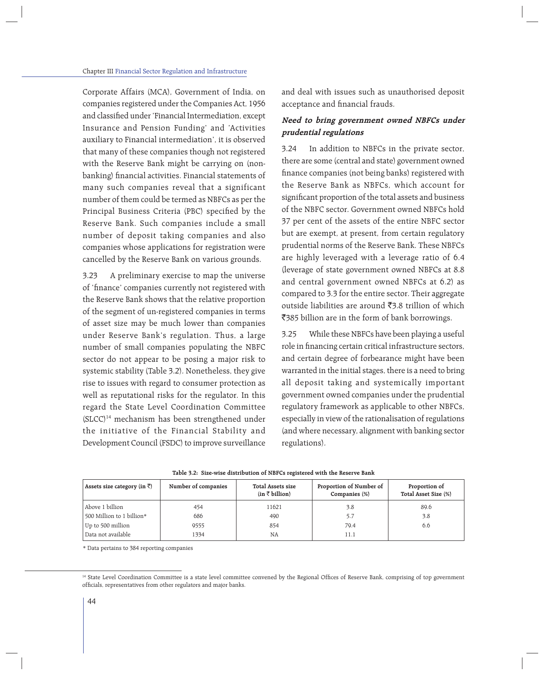Corporate Affairs (MCA), Government of India, on companies registered under the Companies Act, 1956 and classified under 'Financial Intermediation, except Insurance and Pension Funding' and 'Activities auxiliary to Financial intermediation', it is observed that many of these companies though not registered with the Reserve Bank might be carrying on (nonbanking) financial activities. Financial statements of many such companies reveal that a significant number of them could be termed as NBFCs as per the Principal Business Criteria (PBC) specified by the Reserve Bank. Such companies include a small number of deposit taking companies and also companies whose applications for registration were cancelled by the Reserve Bank on various grounds.

3.23 A preliminary exercise to map the universe of 'finance' companies currently not registered with the Reserve Bank shows that the relative proportion of the segment of un-registered companies in terms of asset size may be much lower than companies under Reserve Bank's regulation. Thus, a large number of small companies populating the NBFC sector do not appear to be posing a major risk to systemic stability (Table 3.2). Nonetheless, they give rise to issues with regard to consumer protection as well as reputational risks for the regulator. In this regard the State Level Coordination Committee (SLCC)14 mechanism has been strengthened under the initiative of the Financial Stability and Development Council (FSDC) to improve surveillance and deal with issues such as unauthorised deposit acceptance and financial frauds.

## **Need to bring government owned NBFCs under prudential regulations**

3.24 In addition to NBFCs in the private sector, there are some (central and state) government owned finance companies (not being banks) registered with the Reserve Bank as NBFCs, which account for significant proportion of the total assets and business of the NBFC sector. Government owned NBFCs hold 37 per cent of the assets of the entire NBFC sector but are exempt, at present, from certain regulatory prudential norms of the Reserve Bank. These NBFCs are highly leveraged with a leverage ratio of 6.4 (leverage of state government owned NBFCs at 8.8 and central government owned NBFCs at 6.2) as compared to 3.3 for the entire sector. Their aggregate outside liabilities are around  $\bar{z}$ 3.8 trillion of which ₹385 billion are in the form of bank borrowings.

3.25 While these NBFCs have been playing a useful role in financing certain critical infrastructure sectors, and certain degree of forbearance might have been warranted in the initial stages, there is a need to bring all deposit taking and systemically important government owned companies under the prudential regulatory framework as applicable to other NBFCs, especially in view of the rationalisation of regulations (and where necessary, alignment with banking sector regulations).

| Assets size category (in $\bar{z}$ ) | Number of companies | Total Assets size<br>$(in \; \bar{\mathcal{E}} \; billion)$ | Proportion of Number of<br>Companies (%) | Proportion of<br>Total Asset Size (%) |
|--------------------------------------|---------------------|-------------------------------------------------------------|------------------------------------------|---------------------------------------|
| Above 1 billion                      | 454                 | 11621                                                       | 3.8                                      | 89.6                                  |
| 500 Million to 1 billion*            | 686                 | 490                                                         | 5.7                                      | 3.8                                   |
| Up to 500 million                    | 9555                | 854                                                         | 79.4                                     | 6.6                                   |
| Data not available                   | 1334                | <b>NA</b>                                                   | 11.1                                     |                                       |

|  |  | Table 3.2: Size-wise distribution of NBFCs registered with the Reserve Bank |  |  |  |  |  |
|--|--|-----------------------------------------------------------------------------|--|--|--|--|--|
|--|--|-----------------------------------------------------------------------------|--|--|--|--|--|

\* Data pertains to 384 reporting companies

<sup>&</sup>lt;sup>14</sup> State Level Coordination Committee is a state level committee convened by the Regional Offices of Reserve Bank, comprising of top government officials, representatives from other regulators and major banks.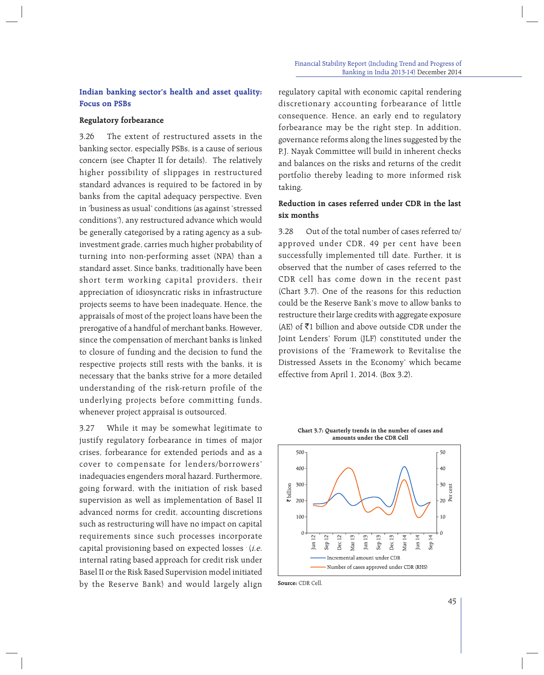## **Indian banking sector's health and asset quality: Focus on PSBs**

## **Regulatory forbearance**

3.26 The extent of restructured assets in the banking sector, especially PSBs, is a cause of serious concern (see Chapter II for details). The relatively higher possibility of slippages in restructured standard advances is required to be factored in by banks from the capital adequacy perspective. Even in 'business as usual' conditions (as against 'stressed conditions'), any restructured advance which would be generally categorised by a rating agency as a subinvestment grade, carries much higher probability of turning into non-performing asset (NPA) than a standard asset. Since banks, traditionally have been short term working capital providers, their appreciation of idiosyncratic risks in infrastructure projects seems to have been inadequate. Hence, the appraisals of most of the project loans have been the prerogative of a handful of merchant banks. However, since the compensation of merchant banks is linked to closure of funding and the decision to fund the respective projects still rests with the banks, it is necessary that the banks strive for a more detailed understanding of the risk-return profile of the underlying projects before committing funds, whenever project appraisal is outsourced.

3.27 While it may be somewhat legitimate to justify regulatory forbearance in times of major crises, forbearance for extended periods and as a cover to compensate for lenders/borrowers' inadequacies engenders moral hazard. Furthermore, going forward, with the initiation of risk based supervision as well as implementation of Basel II advanced norms for credit, accounting discretions such as restructuring will have no impact on capital requirements since such processes incorporate capital provisioning based on expected losses  $(i.e.$ internal rating based approach for credit risk under Basel II or the Risk Based Supervision model initiated by the Reserve Bank) and would largely align regulatory capital with economic capital rendering discretionary accounting forbearance of little consequence. Hence, an early end to regulatory forbearance may be the right step. In addition, governance reforms along the lines suggested by the P.J. Nayak Committee will build in inherent checks and balances on the risks and returns of the credit portfolio thereby leading to more informed risk taking.

## **Reduction in cases referred under CDR in the last six months**

3.28 Out of the total number of cases referred to/ approved under CDR, 49 per cent have been successfully implemented till date. Further, it is observed that the number of cases referred to the CDR cell has come down in the recent past (Chart 3.7). One of the reasons for this reduction could be the Reserve Bank's move to allow banks to restructure their large credits with aggregate exposure (AE) of  $\bar{z}1$  billion and above outside CDR under the Joint Lenders' Forum (JLF) constituted under the provisions of the 'Framework to Revitalise the Distressed Assets in the Economy' which became effective from April 1, 2014. (Box 3.2).





**Source:** CDR Cell.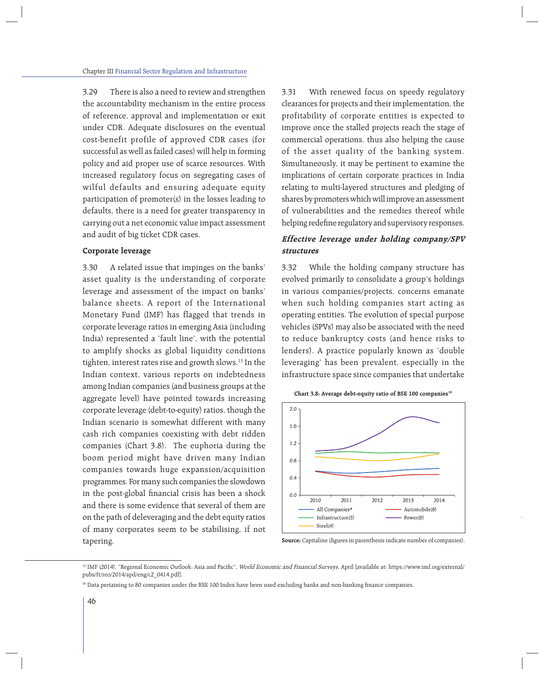3.29 There is also a need to review and strengthen the accountability mechanism in the entire process of reference, approval and implementation or exit under CDR. Adequate disclosures on the eventual cost-benefit profile of approved CDR cases (for successful as well as failed cases) will help in forming policy and aid proper use of scarce resources. With increased regulatory focus on segregating cases of wilful defaults and ensuring adequate equity participation of promoter(s) in the losses leading to defaults, there is a need for greater transparency in carrying out a net economic value impact assessment and audit of big ticket CDR cases.

### **Corporate leverage**

3.30 A related issue that impinges on the banks' asset quality is the understanding of corporate leverage and assessment of the impact on banks' balance sheets. A report of the International Monetary Fund (IMF) has flagged that trends in corporate leverage ratios in emerging Asia (including India) represented a 'fault line', with the potential to amplify shocks as global liquidity conditions tighten, interest rates rise and growth slows.<sup>15</sup> In the Indian context, various reports on indebtedness among Indian companies (and business groups at the aggregate level) have pointed towards increasing corporate leverage (debt-to-equity) ratios, though the Indian scenario is somewhat different with many cash rich companies coexisting with debt ridden companies (Chart 3.8). The euphoria during the boom period might have driven many Indian companies towards huge expansion/acquisition programmes. For many such companies the slowdown in the post-global financial crisis has been a shock and there is some evidence that several of them are on the path of deleveraging and the debt equity ratios of many corporates seem to be stabilising, if not tapering.

3.31 With renewed focus on speedy regulatory clearances for projects and their implementation, the profitability of corporate entities is expected to improve once the stalled projects reach the stage of commercial operations, thus also helping the cause of the asset quality of the banking system. Simultaneously, it may be pertinent to examine the implications of certain corporate practices in India relating to multi-layered structures and pledging of shares by promoters which will improve an assessment of vulnerabilities and the remedies thereof while helping redefine regulatory and supervisory responses.

## **Effective leverage under holding company/SPV structures**

3.32 While the holding company structure has evolved primarily to consolidate a group's holdings in various companies/projects, concerns emanate when such holding companies start acting as operating entities. The evolution of special purpose vehicles (SPVs) may also be associated with the need to reduce bankruptcy costs (and hence risks to lenders). A practice popularly known as 'double leveraging' has been prevalent, especially in the infrastructure space since companies that undertake





**Source:** Capitaline (figures in parenthesis indicate number of companies).

<sup>&</sup>lt;sup>15</sup> IMF (2014), "Regional Economic Outlook: Asia and Pacific", World Economic and Financial Surveys, April [available at: https://www.imf.org/external/ pubs/ft/reo/2014/apd/eng/c2\_0414.pdf].

<sup>&</sup>lt;sup>16</sup> Data pertaining to 80 companies under the BSE 100 Index have been used excluding banks and non-banking finance companies.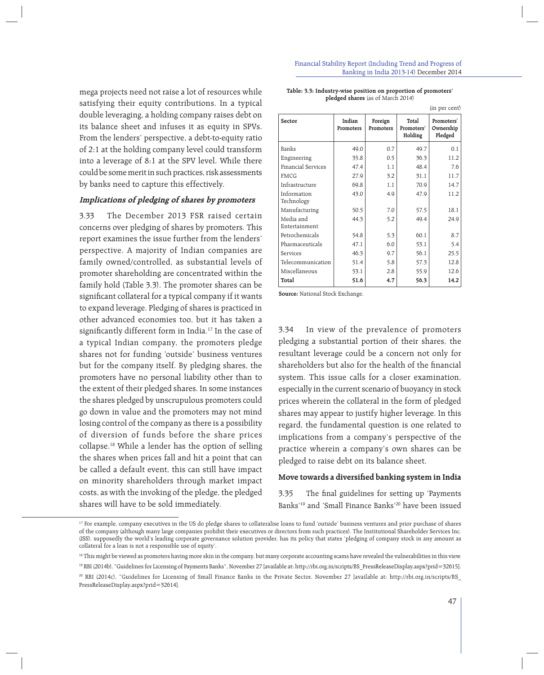mega projects need not raise a lot of resources while satisfying their equity contributions. In a typical double leveraging, a holding company raises debt on its balance sheet and infuses it as equity in SPVs. From the lenders' perspective, a debt-to-equity ratio of 2:1 at the holding company level could transform into a leverage of 8:1 at the SPV level. While there could be some merit in such practices, risk assessments by banks need to capture this effectively.

## **Implications of pledging of shares by promoters**

3.33 The December 2013 FSR raised certain concerns over pledging of shares by promoters. This report examines the issue further from the lenders' perspective. A majority of Indian companies are family owned/controlled, as substantial levels of promoter shareholding are concentrated within the family hold (Table 3.3). The promoter shares can be significant collateral for a typical company if it wants to expand leverage. Pledging of shares is practiced in other advanced economies too, but it has taken a significantly different form in India.<sup>17</sup> In the case of a typical Indian company, the promoters pledge shares not for funding 'outside' business ventures but for the company itself. By pledging shares, the promoters have no personal liability other than to the extent of their pledged shares. In some instances the shares pledged by unscrupulous promoters could go down in value and the promoters may not mind losing control of the company as there is a possibility of diversion of funds before the share prices collapse.18 While a lender has the option of selling the shares when prices fall and hit a point that can be called a default event, this can still have impact on minority shareholders through market impact costs, as with the invoking of the pledge, the pledged shares will have to be sold immediately.

#### Financial Stability Report (Including Trend and Progress of Banking in India 2013-14) December 2014

| Table: 3.3: Industry-wise position on proportion of promoters' |  |
|----------------------------------------------------------------|--|
| <b>pledged shares</b> (as of March 2014)                       |  |

|                            |                     |                      |                                | (in per cent)                      |
|----------------------------|---------------------|----------------------|--------------------------------|------------------------------------|
| Sector                     | Indian<br>Promoters | Foreign<br>Promoters | Total<br>Promoters'<br>Holding | Promoters'<br>Ownership<br>Pledged |
| Banks                      | 49.0                | 0.7                  | 49.7                           | 0.1                                |
| Engineering                | 35.8                | 0.5                  | 36.3                           | 11.2                               |
| Financial Services         | 47.4                | 1.1                  | 48.4                           | 7.6                                |
| <b>FMCG</b>                | 27.9                | 3.2                  | 31.1                           | 11.7                               |
| Infrastructure             | 69.8                | 1.1                  | 70.9                           | 14.7                               |
| Information<br>Technology  | 43.0                | 4.9                  | 47.9                           | 11.2                               |
| Manufacturing              | 50.5                | 7.0                  | 57.5                           | 18.1                               |
| Media and<br>Entertainment | 44.3                | 5.2                  | 49.4                           | 24.9                               |
| Petrochemicals             | 54.8                | 5.3                  | 60.1                           | 8.7                                |
| Pharmaceuticals            | 47.1                | 6.0                  | 53.1                           | 5.4                                |
| Services                   | 46.3                | 9.7                  | 56.1                           | 25.5                               |
| Telecommunication          | 51.4                | 5.8                  | 57.3                           | 12.8                               |
| Miscellaneous              | 53.1                | 2.8                  | 55.9                           | 12.6                               |
| Total                      | 51.6                | 4.7                  | 56.3                           | 14.2                               |

**Source:** National Stock Exchange.

3.34 In view of the prevalence of promoters pledging a substantial portion of their shares, the resultant leverage could be a concern not only for shareholders but also for the health of the financial system. This issue calls for a closer examination, especially in the current scenario of buoyancy in stock prices wherein the collateral in the form of pledged shares may appear to justify higher leverage. In this regard, the fundamental question is one related to implications from a company's perspective of the practice wherein a company's own shares can be pledged to raise debt on its balance sheet.

## Move towards a diversified banking system in India

3.35 The final guidelines for setting up 'Payments Banks'19 and 'Small Finance Banks'20 have been issued

<sup>&</sup>lt;sup>17</sup> For example, company executives in the US do pledge shares to collateralise loans to fund 'outside' business ventures and prior purchase of shares of the company (although many large companies prohibit their executives or directors from such practices). The Institutional Shareholder Services Inc. (ISS), supposedly the world's leading corporate governance solution provider, has its policy that states 'pledging of company stock in any amount as collateral for a loan is not a responsible use of equity'.

<sup>&</sup>lt;sup>18</sup> This might be viewed as promoters having more skin in the company, but many corporate accounting scams have revealed the vulnerabilities in this view.

<sup>19</sup> RBI (2014b), "Guidelines for Licensing of Payments Banks", November 27 [available at: http://rbi.org.in/scripts/BS\_PressReleaseDisplay.aspx?prid=32615]. 20 RBI (2014c), "Guidelines for Licensing of Small Finance Banks in the Private Sector, November 27 [available at: http://rbi.org.in/scripts/BS\_ PressReleaseDisplay.aspx?prid=32614].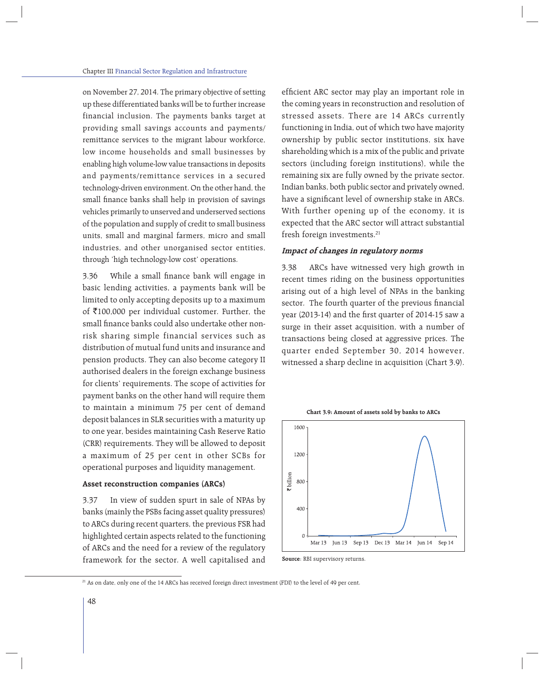on November 27, 2014. The primary objective of setting up these differentiated banks will be to further increase financial inclusion. The payments banks target at providing small savings accounts and payments/ remittance services to the migrant labour workforce, low income households and small businesses by enabling high volume-low value transactions in deposits and payments/remittance services in a secured technology-driven environment. On the other hand, the small finance banks shall help in provision of savings vehicles primarily to unserved and underserved sections of the population and supply of credit to small business units, small and marginal farmers, micro and small industries, and other unorganised sector entities, through 'high technology-low cost' operations.

3.36 While a small finance bank will engage in basic lending activities, a payments bank will be limited to only accepting deposits up to a maximum of  $\bar{\mathfrak{e}}100,000$  per individual customer. Further, the small finance banks could also undertake other nonrisk sharing simple financial services such as distribution of mutual fund units and insurance and pension products. They can also become category II authorised dealers in the foreign exchange business for clients' requirements. The scope of activities for payment banks on the other hand will require them to maintain a minimum 75 per cent of demand deposit balances in SLR securities with a maturity up to one year, besides maintaining Cash Reserve Ratio (CRR) requirements. They will be allowed to deposit a maximum of 25 per cent in other SCBs for operational purposes and liquidity management.

## **Asset reconstruction companies (ARCs)**

3.37 In view of sudden spurt in sale of NPAs by banks (mainly the PSBs facing asset quality pressures) to ARCs during recent quarters, the previous FSR had highlighted certain aspects related to the functioning of ARCs and the need for a review of the regulatory framework for the sector. A well capitalised and efficient ARC sector may play an important role in the coming years in reconstruction and resolution of stressed assets. There are 14 ARCs currently functioning in India, out of which two have majority ownership by public sector institutions, six have shareholding which is a mix of the public and private sectors (including foreign institutions), while the remaining six are fully owned by the private sector. Indian banks, both public sector and privately owned, have a significant level of ownership stake in ARCs. With further opening up of the economy, it is expected that the ARC sector will attract substantial fresh foreign investments.<sup>21</sup>

### **Impact of changes in regulatory norms**

3.38 ARCs have witnessed very high growth in recent times riding on the business opportunities arising out of a high level of NPAs in the banking sector. The fourth quarter of the previous financial year (2013-14) and the first quarter of 2014-15 saw a surge in their asset acquisition, with a number of transactions being closed at aggressive prices. The quarter ended September 30, 2014 however, witnessed a sharp decline in acquisition (Chart 3.9).



**Source**: RBI supervisory returns.

<sup>21</sup> As on date, only one of the 14 ARCs has received foreign direct investment (FDI) to the level of 49 per cent.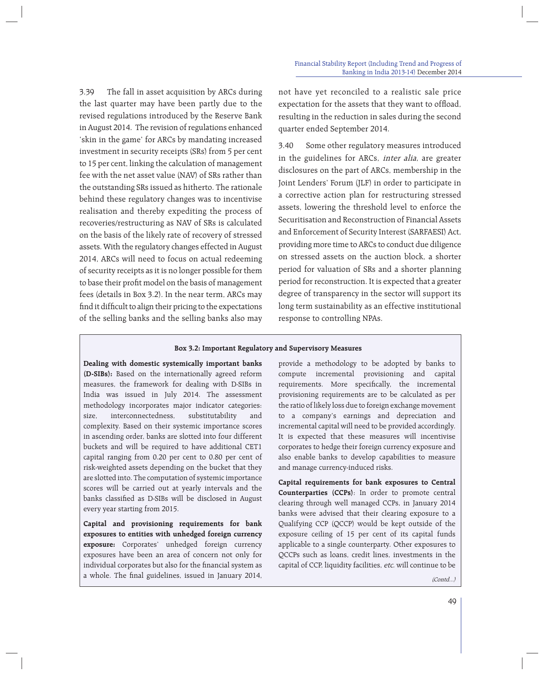3.39 The fall in asset acquisition by ARCs during the last quarter may have been partly due to the revised regulations introduced by the Reserve Bank in August 2014. The revision of regulations enhanced 'skin in the game' for ARCs by mandating increased investment in security receipts (SRs) from 5 per cent to 15 per cent, linking the calculation of management fee with the net asset value (NAV) of SRs rather than the outstanding SRs issued as hitherto. The rationale behind these regulatory changes was to incentivise realisation and thereby expediting the process of recoveries/restructuring as NAV of SRs is calculated on the basis of the likely rate of recovery of stressed assets. With the regulatory changes effected in August 2014, ARCs will need to focus on actual redeeming of security receipts as it is no longer possible for them to base their profit model on the basis of management fees (details in Box 3.2). In the near term, ARCs may find it difficult to align their pricing to the expectations of the selling banks and the selling banks also may

not have yet reconciled to a realistic sale price expectation for the assets that they want to offload, resulting in the reduction in sales during the second quarter ended September 2014.

3.40 Some other regulatory measures introduced in the guidelines for ARCs, inter alia, are greater disclosures on the part of ARCs, membership in the Joint Lenders' Forum (JLF) in order to participate in a corrective action plan for restructuring stressed assets, lowering the threshold level to enforce the Securitisation and Reconstruction of Financial Assets and Enforcement of Security Interest (SARFAESI) Act, providing more time to ARCs to conduct due diligence on stressed assets on the auction block, a shorter period for valuation of SRs and a shorter planning period for reconstruction. It is expected that a greater degree of transparency in the sector will support its long term sustainability as an effective institutional response to controlling NPAs.

### **Box 3.2: Important Regulatory and Supervisory Measures**

**Dealing with domestic systemically important banks (D-SIBs):** Based on the internationally agreed reform measures, the framework for dealing with D-SIBs in India was issued in July 2014. The assessment methodology incorporates major indicator categories: size, interconnectedness, substitutability and complexity. Based on their systemic importance scores in ascending order, banks are slotted into four different buckets and will be required to have additional CET1 capital ranging from 0.20 per cent to 0.80 per cent of risk-weighted assets depending on the bucket that they are slotted into. The computation of systemic importance scores will be carried out at yearly intervals and the banks classified as D-SIBs will be disclosed in August every year starting from 2015.

**Capital and provisioning requirements for bank exposures to entities with unhedged foreign currency exposure:** Corporates' unhedged foreign currency exposures have been an area of concern not only for individual corporates but also for the financial system as a whole. The final guidelines, issued in January 2014,

provide a methodology to be adopted by banks to compute incremental provisioning and capital requirements. More specifically, the incremental provisioning requirements are to be calculated as per the ratio of likely loss due to foreign exchange movement to a company's earnings and depreciation and incremental capital will need to be provided accordingly. It is expected that these measures will incentivise corporates to hedge their foreign currency exposure and also enable banks to develop capabilities to measure and manage currency-induced risks.

**Capital requirements for bank exposures to Central Counterparties (CCPs)**: In order to promote central clearing through well managed CCPs, in January 2014 banks were advised that their clearing exposure to a Qualifying CCP (QCCP) would be kept outside of the exposure ceiling of 15 per cent of its capital funds applicable to a single counterparty. Other exposures to QCCPs such as loans, credit lines, investments in the capital of CCP, liquidity facilities, etc. will continue to be

> 49  $(Contd)$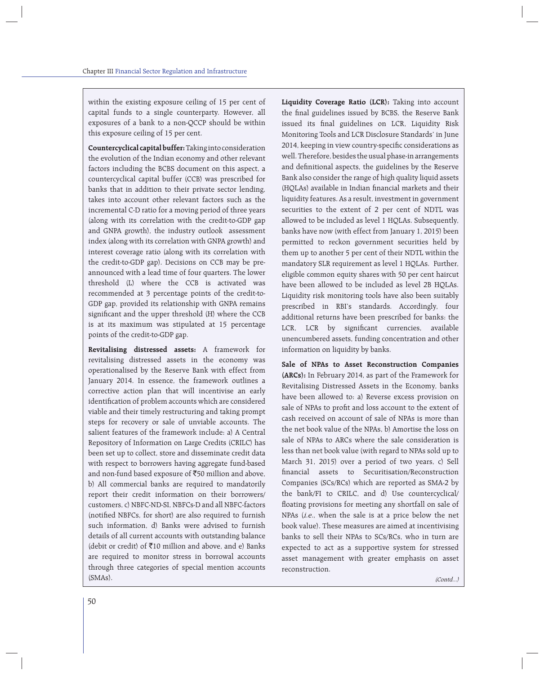within the existing exposure ceiling of 15 per cent of capital funds to a single counterparty. However, all exposures of a bank to a non-QCCP should be within this exposure ceiling of 15 per cent.

**Countercyclical capital buffer:** Taking into consideration the evolution of the Indian economy and other relevant factors including the BCBS document on this aspect, a countercyclical capital buffer (CCB) was prescribed for banks that in addition to their private sector lending, takes into account other relevant factors such as the incremental C-D ratio for a moving period of three years (along with its correlation with the credit-to-GDP gap and GNPA growth), the industry outlook assessment index (along with its correlation with GNPA growth) and interest coverage ratio (along with its correlation with the credit-to-GDP gap). Decisions on CCB may be preannounced with a lead time of four quarters. The lower threshold (L) where the CCB is activated was recommended at 3 percentage points of the credit-to-GDP gap, provided its relationship with GNPA remains significant and the upper threshold (H) where the CCB is at its maximum was stipulated at 15 percentage points of the credit-to-GDP gap.

**Revitalising distressed assets:** A framework for revitalising distressed assets in the economy was operationalised by the Reserve Bank with effect from January 2014. In essence, the framework outlines a corrective action plan that will incentivise an early identification of problem accounts which are considered viable and their timely restructuring and taking prompt steps for recovery or sale of unviable accounts. The salient features of the framework include: a) A Central Repository of Information on Large Credits (CRILC) has been set up to collect, store and disseminate credit data with respect to borrowers having aggregate fund-based and non-fund based exposure of  $\overline{50}$  million and above, b) All commercial banks are required to mandatorily report their credit information on their borrowers/ customers, c) NBFC-ND-SI, NBFCs-D and all NBFC-factors (notified NBFCs, for short) are also required to furnish such information, d) Banks were advised to furnish details of all current accounts with outstanding balance (debit or credit) of  $\bar{z}$ 10 million and above, and e) Banks are required to monitor stress in borrowal accounts through three categories of special mention accounts (SMAs).

**Liquidity Coverage Ratio (LCR):** Taking into account the final guidelines issued by BCBS, the Reserve Bank issued its final guidelines on LCR, Liquidity Risk Monitoring Tools and LCR Disclosure Standards' in June 2014, keeping in view country-specific considerations as well. Therefore, besides the usual phase-in arrangements and definitional aspects, the guidelines by the Reserve Bank also consider the range of high quality liquid assets (HQLAs) available in Indian financial markets and their liquidity features. As a result, investment in government securities to the extent of 2 per cent of NDTL was allowed to be included as level 1 HQLAs. Subsequently, banks have now (with effect from January 1, 2015) been permitted to reckon government securities held by them up to another 5 per cent of their NDTL within the mandatory SLR requirement as level 1 HQLAs. Further, eligible common equity shares with 50 per cent haircut have been allowed to be included as level 2B HQLAs. Liquidity risk monitoring tools have also been suitably prescribed in RBI's standards. Accordingly, four additional returns have been prescribed for banks: the LCR, LCR by significant currencies, available unencumbered assets, funding concentration and other information on liquidity by banks.

**Sale of NPAs to Asset Reconstruction Companies (ARCs):** In February 2014, as part of the Framework for Revitalising Distressed Assets in the Economy, banks have been allowed to: a) Reverse excess provision on sale of NPAs to profit and loss account to the extent of cash received on account of sale of NPAs is more than the net book value of the NPAs, b) Amortise the loss on sale of NPAs to ARCs where the sale consideration is less than net book value (with regard to NPAs sold up to March 31, 2015) over a period of two years, c) Sell fi nancial assets to Securitisation/Reconstruction Companies (SCs/RCs) which are reported as SMA-2 by the bank/FI to CRILC, and d) Use countercyclical/ floating provisions for meeting any shortfall on sale of NPAs (i.e., when the sale is at a price below the net book value). These measures are aimed at incentivising banks to sell their NPAs to SCs/RCs, who in turn are expected to act as a supportive system for stressed asset management with greater emphasis on asset reconstruction.

(Contd...)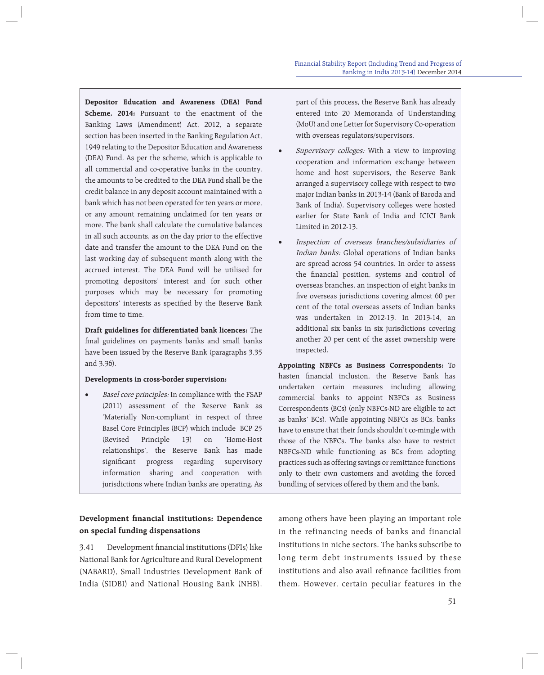**Depositor Education and Awareness (DEA) Fund Scheme, 2014:** Pursuant to the enactment of the Banking Laws (Amendment) Act, 2012, a separate section has been inserted in the Banking Regulation Act, 1949 relating to the Depositor Education and Awareness (DEA) Fund. As per the scheme, which is applicable to all commercial and co-operative banks in the country, the amounts to be credited to the DEA Fund shall be the credit balance in any deposit account maintained with a bank which has not been operated for ten years or more, or any amount remaining unclaimed for ten years or more. The bank shall calculate the cumulative balances in all such accounts, as on the day prior to the effective date and transfer the amount to the DEA Fund on the last working day of subsequent month along with the accrued interest. The DEA Fund will be utilised for promoting depositors' interest and for such other purposes which may be necessary for promoting depositors' interests as specified by the Reserve Bank from time to time.

**Draft guidelines for differentiated bank licences:** The final guidelines on payments banks and small banks have been issued by the Reserve Bank (paragraphs 3.35 and 3.36).

### **Developments in cross-border supervision:**

Basel core principles: In compliance with the FSAP (2011) assessment of the Reserve Bank as 'Materially Non-compliant' in respect of three Basel Core Principles (BCP) which include BCP 25 (Revised Principle 13) on 'Home-Host relationships', the Reserve Bank has made significant progress regarding supervisory information sharing and cooperation with jurisdictions where Indian banks are operating. As

## **Development financial institutions: Dependence on special funding dispensations**

3.41 Development financial institutions (DFIs) like National Bank for Agriculture and Rural Development (NABARD), Small Industries Development Bank of India (SIDBI) and National Housing Bank (NHB), part of this process, the Reserve Bank has already entered into 20 Memoranda of Understanding (MoU) and one Letter for Supervisory Co-operation with overseas regulators/supervisors.

- Supervisory colleges: With a view to improving cooperation and information exchange between home and host supervisors, the Reserve Bank arranged a supervisory college with respect to two major Indian banks in 2013-14 (Bank of Baroda and Bank of India). Supervisory colleges were hosted earlier for State Bank of India and ICICI Bank Limited in 2012-13.
- Inspection of overseas branches/subsidiaries of Indian banks: Global operations of Indian banks are spread across 54 countries. In order to assess the financial position, systems and control of overseas branches, an inspection of eight banks in five overseas jurisdictions covering almost 60 per cent of the total overseas assets of Indian banks was undertaken in 2012-13. In 2013-14, an additional six banks in six jurisdictions covering another 20 per cent of the asset ownership were inspected.

**Appointing NBFCs as Business Correspondents:** To hasten financial inclusion, the Reserve Bank has undertaken certain measures including allowing commercial banks to appoint NBFCs as Business Correspondents (BCs) (only NBFCs-ND are eligible to act as banks' BCs). While appointing NBFCs as BCs, banks have to ensure that their funds shouldn't co-mingle with those of the NBFCs. The banks also have to restrict NBFCs-ND while functioning as BCs from adopting practices such as offering savings or remittance functions only to their own customers and avoiding the forced bundling of services offered by them and the bank.

among others have been playing an important role in the refinancing needs of banks and financial institutions in niche sectors. The banks subscribe to long term debt instruments issued by these institutions and also avail refinance facilities from them. However, certain peculiar features in the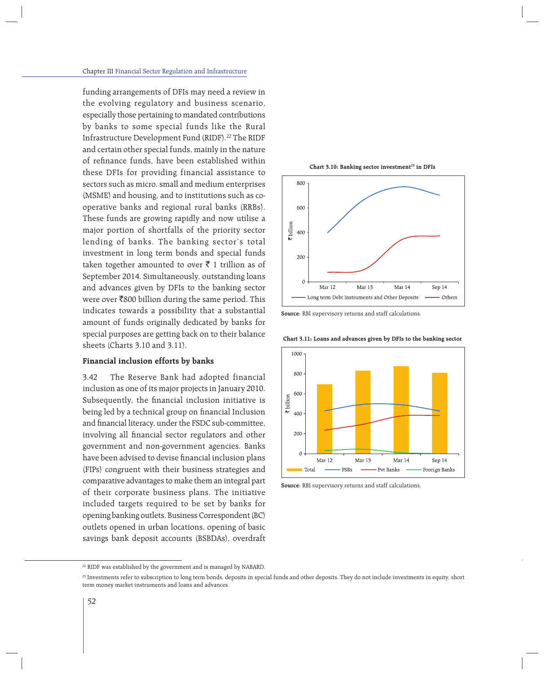funding arrangements of DFIs may need a review in the evolving regulatory and business scenario, especially those pertaining to mandated contributions by banks to some special funds like the Rural Infrastructure Development Fund (RIDF).<sup>22</sup> The RIDF and certain other special funds, mainly in the nature of refinance funds, have been established within these DFIs for providing financial assistance to sectors such as micro, small and medium enterprises (MSME) and housing, and to institutions such as cooperative banks and regional rural banks (RRBs). These funds are growing rapidly and now utilise a major portion of shortfalls of the priority sector lending of banks. The banking sector's total investment in long term bonds and special funds taken together amounted to over  $\bar{\tau}$  1 trillion as of September 2014. Simultaneously, outstanding loans and advances given by DFIs to the banking sector were over  $\bar{\mathfrak{g}}800$  billion during the same period. This indicates towards a possibility that a substantial amount of funds originally dedicated by banks for special purposes are getting back on to their balance sheets (Charts 3.10 and 3.11).

### **Financial inclusion efforts by banks**

3.42 The Reserve Bank had adopted financial inclusion as one of its major projects in January 2010. Subsequently, the financial inclusion initiative is being led by a technical group on financial Inclusion and financial literacy, under the FSDC sub-committee, involving all financial sector regulators and other government and non-government agencies. Banks have been advised to devise financial inclusion plans (FIPs) congruent with their business strategies and comparative advantages to make them an integral part of their corporate business plans. The initiative included targets required to be set by banks for opening banking outlets, Business Correspondent (BC) outlets opened in urban locations, opening of basic savings bank deposit accounts (BSBDAs), overdraft







**Chart 3.11: Loans and advances given by DFIs to the banking sector**



**Source**: RBI supervisory returns and staff calculations.

<sup>&</sup>lt;sup>22</sup> RIDF was established by the government and is managed by NABARD.

<sup>&</sup>lt;sup>23</sup> Investments refer to subscription to long term bonds, deposits in special funds and other deposits. They do not include investments in equity, short term money market instruments and loans and advances.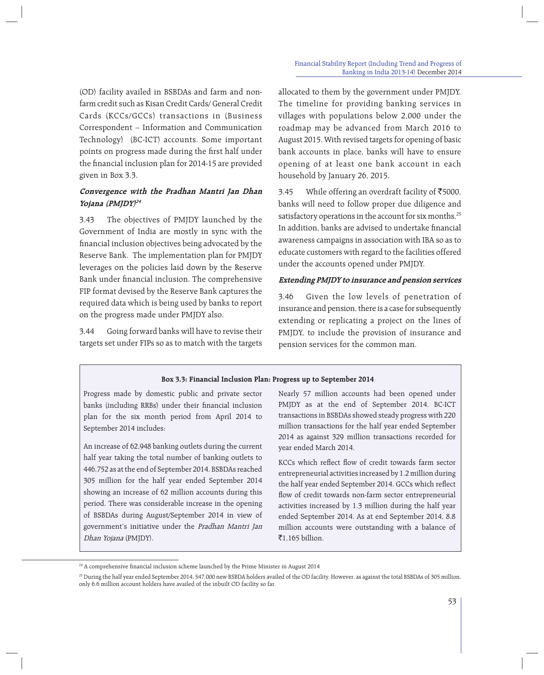(OD) facility availed in BSBDAs and farm and nonfarm credit such as Kisan Credit Cards/ General Credit Cards (KCCs/GCCs) transactions in (Business Correspondent – Information and Communication Technology) (BC-ICT) accounts. Some important points on progress made during the first half under the financial inclusion plan for 2014-15 are provided given in Box 3.3.

## **Convergence with the Pradhan Mantri Jan Dhan Yojana (PMJDY)<sup>24</sup>**

3.43 The objectives of PMJDY launched by the Government of India are mostly in sync with the financial inclusion objectives being advocated by the Reserve Bank. The implementation plan for PMJDY leverages on the policies laid down by the Reserve Bank under financial inclusion. The comprehensive FIP format devised by the Reserve Bank captures the required data which is being used by banks to report on the progress made under PMJDY also.

3.44 Going forward banks will have to revise their targets set under FIPs so as to match with the targets

allocated to them by the government under PMJDY. The timeline for providing banking services in villages with populations below 2,000 under the roadmap may be advanced from March 2016 to August 2015. With revised targets for opening of basic bank accounts in place, banks will have to ensure opening of at least one bank account in each household by January 26, 2015.

3.45 While offering an overdraft facility of  $\bar{5}000$ , banks will need to follow proper due diligence and satisfactory operations in the account for six months.<sup>25</sup> In addition, banks are advised to undertake financial awareness campaigns in association with IBA so as to educate customers with regard to the facilities offered under the accounts opened under PMJDY.

## **Extending PMJDY to insurance and pension services**

3.46 Given the low levels of penetration of insurance and pension, there is a case for subsequently extending or replicating a project on the lines of PMJDY, to include the provision of insurance and pension services for the common man.

## **Box 3.3: Financial Inclusion Plan: Progress up to September 2014**

Progress made by domestic public and private sector banks (including RRBs) under their financial inclusion plan for the six month period from April 2014 to September 2014 includes:

An increase of 62,948 banking outlets during the current half year taking the total number of banking outlets to 446,752 as at the end of September 2014. BSBDAs reached 305 million for the half year ended September 2014 showing an increase of 62 million accounts during this period. There was considerable increase in the opening of BSBDAs during August/September 2014 in view of government's initiative under the Pradhan Mantri Jan Dhan Yojana (PMJDY).

Nearly 57 million accounts had been opened under PMJDY as at the end of September 2014. BC-ICT transactions in BSBDAs showed steady progress with 220 million transactions for the half year ended September 2014 as against 329 million transactions recorded for year ended March 2014.

KCCs which reflect flow of credit towards farm sector entrepreneurial activities increased by 1.2 million during the half year ended September 2014. GCCs which reflect flow of credit towards non-farm sector entrepreneurial activities increased by 1.3 million during the half year ended September 2014. As at end September 2014, 8.8 million accounts were outstanding with a balance of  $\overline{5}1.165$  billion.

<sup>&</sup>lt;sup>24</sup> A comprehensive financial inclusion scheme launched by the Prime Minister in August 2014

<sup>25</sup> During the half year ended September 2014, 547,000 new BSBDA holders availed of the OD facility. However, as against the total BSBDAs of 305 million, only 6.6 million account holders have availed of the inbuilt OD facility so far.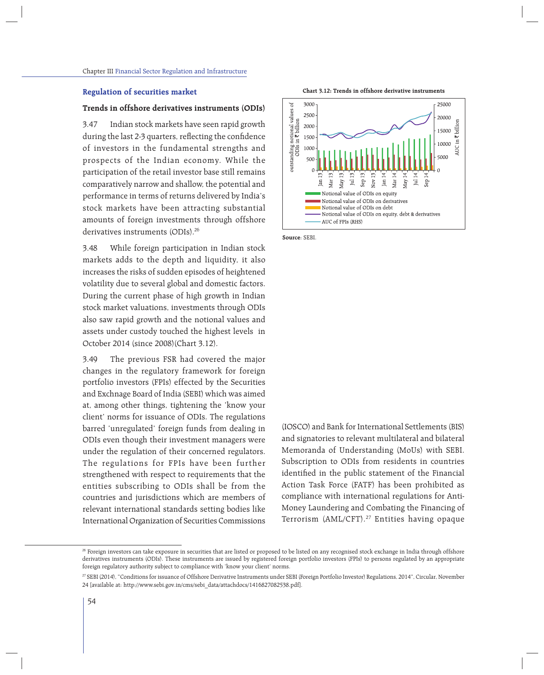### **Regulation of securities market**

## **Trends in offshore derivatives instruments (ODIs)**

3.47 Indian stock markets have seen rapid growth during the last 2-3 quarters, reflecting the confidence of investors in the fundamental strengths and prospects of the Indian economy. While the participation of the retail investor base still remains comparatively narrow and shallow, the potential and performance in terms of returns delivered by India's stock markets have been attracting substantial amounts of foreign investments through offshore derivatives instruments (ODIs).<sup>26</sup>

3.48 While foreign participation in Indian stock markets adds to the depth and liquidity, it also increases the risks of sudden episodes of heightened volatility due to several global and domestic factors. During the current phase of high growth in Indian stock market valuations, investments through ODIs also saw rapid growth and the notional values and assets under custody touched the highest levels in October 2014 (since 2008)(Chart 3.12).

3.49 The previous FSR had covered the major changes in the regulatory framework for foreign portfolio investors (FPIs) effected by the Securities and Exchnage Board of India (SEBI) which was aimed at, among other things, tightening the 'know your client' norms for issuance of ODIs. The regulations barred 'unregulated' foreign funds from dealing in ODIs even though their investment managers were under the regulation of their concerned regulators. The regulations for FPIs have been further strengthened with respect to requirements that the entities subscribing to ODIs shall be from the countries and jurisdictions which are members of relevant international standards setting bodies like International Organization of Securities Commissions



**Chart 3.12: Trends in offshore derivative instruments**

**Source**: SEBI.

(IOSCO) and Bank for International Settlements (BIS) and signatories to relevant multilateral and bilateral Memoranda of Understanding (MoUs) with SEBI. Subscription to ODIs from residents in countries identified in the public statement of the Financial Action Task Force (FATF) has been prohibited as compliance with international regulations for Anti-Money Laundering and Combating the Financing of Terrorism (AML/CFT).27 Entities having opaque

<sup>&</sup>lt;sup>26</sup> Foreign investors can take exposure in securities that are listed or proposed to be listed on any recognised stock exchange in India through offshore derivatives instruments (ODIs). These instruments are issued by registered foreign portfolio investors (FPIs) to persons regulated by an appropriate foreign regulatory authority subject to compliance with 'know your client' norms.

<sup>27</sup> SEBI (2014), "Conditions for issuance of Offshore Derivative Instruments under SEBI (Foreign Portfolio Investor) Regulations, 2014", Circular, November 24 [available at: http://www.sebi.gov.in/cms/sebi\_data/attachdocs/1416827082538.pdf].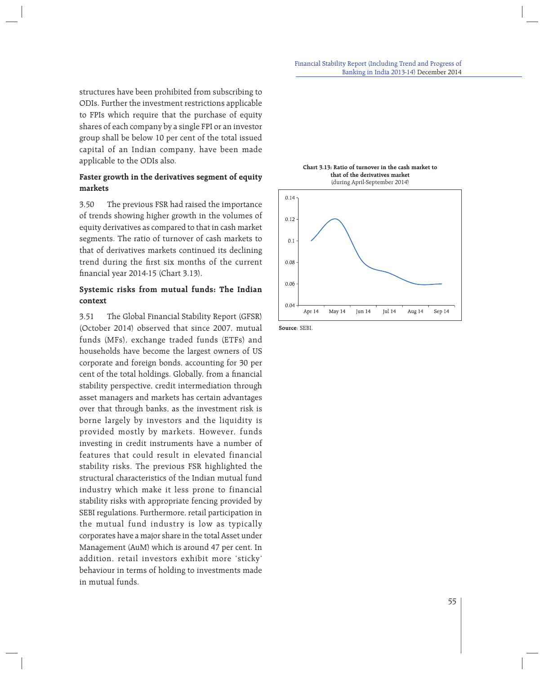structures have been prohibited from subscribing to ODIs. Further the investment restrictions applicable to FPIs which require that the purchase of equity shares of each company by a single FPI or an investor group shall be below 10 per cent of the total issued capital of an Indian company, have been made applicable to the ODIs also.

## **Faster growth in the derivatives segment of equity markets**

3.50 The previous FSR had raised the importance of trends showing higher growth in the volumes of equity derivatives as compared to that in cash market segments. The ratio of turnover of cash markets to that of derivatives markets continued its declining trend during the first six months of the current financial year 2014-15 (Chart 3.13).

## **Systemic risks from mutual funds: The Indian context**

3.51 The Global Financial Stability Report (GFSR) (October 2014) observed that since 2007, mutual funds (MFs), exchange traded funds (ETFs) and households have become the largest owners of US corporate and foreign bonds, accounting for 30 per cent of the total holdings. Globally, from a financial stability perspective, credit intermediation through asset managers and markets has certain advantages over that through banks, as the investment risk is borne largely by investors and the liquidity is provided mostly by markets. However, funds investing in credit instruments have a number of features that could result in elevated financial stability risks. The previous FSR highlighted the structural characteristics of the Indian mutual fund industry which make it less prone to financial stability risks with appropriate fencing provided by SEBI regulations. Furthermore, retail participation in the mutual fund industry is low as typically corporates have a major share in the total Asset under Management (AuM) which is around 47 per cent. In addition, retail investors exhibit more 'sticky' behaviour in terms of holding to investments made in mutual funds.



**Chart 3.13: Ratio of turnover in the cash market to that of the derivatives market**

**Source**: SEBI.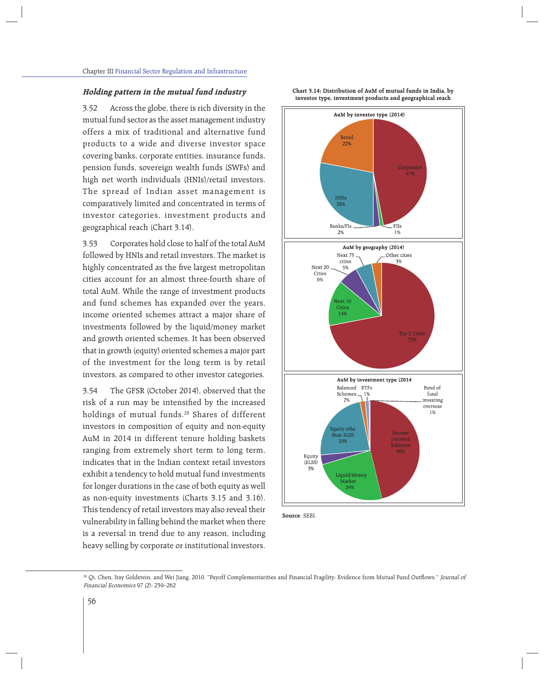### **Holding pattern in the mutual fund industry**

3.52 Across the globe, there is rich diversity in the mutual fund sector as the asset management industry offers a mix of traditional and alternative fund products to a wide and diverse investor space covering banks, corporate entities, insurance funds, pension funds, sovereign wealth funds (SWFs) and high net worth individuals (HNIs)/retail investors. The spread of Indian asset management is comparatively limited and concentrated in terms of investor categories, investment products and geographical reach (Chart 3.14).

3.53 Corporates hold close to half of the total AuM followed by HNIs and retail investors. The market is highly concentrated as the five largest metropolitan cities account for an almost three-fourth share of total AuM. While the range of investment products and fund schemes has expanded over the years, income oriented schemes attract a major share of investments followed by the liquid/money market and growth oriented schemes. It has been observed that in growth (equity) oriented schemes a major part of the investment for the long term is by retail investors, as compared to other investor categories.

3.54 The GFSR (October 2014), observed that the risk of a run may be intensified by the increased holdings of mutual funds.<sup>28</sup> Shares of different investors in composition of equity and non-equity AuM in 2014 in different tenure holding baskets ranging from extremely short term to long term, indicates that in the Indian context retail investors exhibit a tendency to hold mutual fund investments for longer durations in the case of both equity as well as non-equity investments (Charts 3.15 and 3.16). This tendency of retail investors may also reveal their vulnerability in falling behind the market when there is a reversal in trend due to any reason, including heavy selling by corporate or institutional investors.



**Source**: SEBI.

**Chart 3.14: Distribution of AuM of mutual funds in India, by investor type, investment products and geographical reach**

<sup>&</sup>lt;sup>28</sup> Qi, Chen, Itay Goldstein, and Wei Jiang. 2010. "Payoff Complementarities and Financial Fragility: Evidence from Mutual Fund Outflows." Journal of Financial Economics 97 (2): 239–262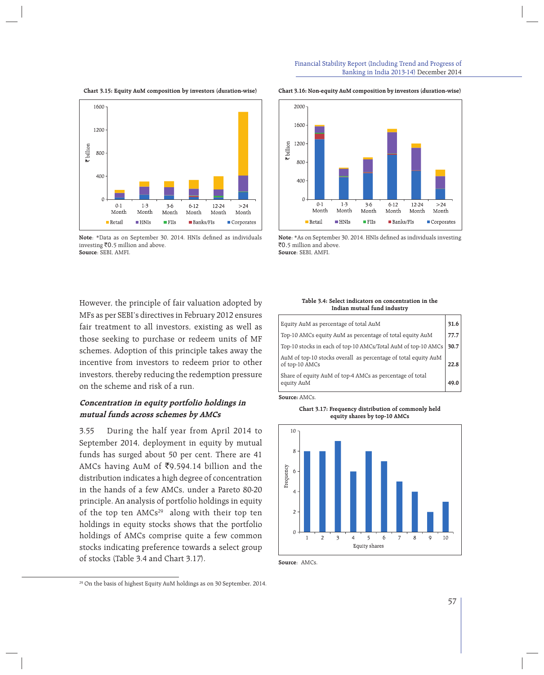

#### **Chart 3.15: Equity AuM composition by investors (duration-wise)**



Note: \*Data as on September 30, 2014. HNIs defined as individuals investing  $\bar{z}$ 0.5 million and above. **Source**: SEBI, AMFI.

#### **Chart 3.16: Non-equity AuM composition by investors (duration-wise)**



Note: \*As on September 30, 2014. HNIs defined as individuals investing `0.5 million and above. **Source**: SEBI, AMFI.

However, the principle of fair valuation adopted by MFs as per SEBI's directives in February 2012 ensures fair treatment to all investors, existing as well as those seeking to purchase or redeem units of MF schemes. Adoption of this principle takes away the incentive from investors to redeem prior to other investors, thereby reducing the redemption pressure on the scheme and risk of a run.

## **Concentration in equity portfolio holdings in mutual funds across schemes by AMCs**

3.55 During the half year from April 2014 to September 2014, deployment in equity by mutual funds has surged about 50 per cent. There are 41 AMCs having AuM of  $\text{\texttt{F9,594.14}}$  billion and the distribution indicates a high degree of concentration in the hands of a few AMCs, under a Pareto 80-20 principle. An analysis of portfolio holdings in equity of the top ten AMCs<sup>29</sup> along with their top ten holdings in equity stocks shows that the portfolio holdings of AMCs comprise quite a few common stocks indicating preference towards a select group of stocks (Table 3.4 and Chart 3.17).

**Table 3.4: Select indicators on concentration in the Indian mutual fund industry**

| Equity AuM as percentage of total AuM                                            | 31.6 |
|----------------------------------------------------------------------------------|------|
| Top-10 AMCs equity AuM as percentage of total equity AuM                         | 77.7 |
| Top-10 stocks in each of top-10 AMCs/Total AuM of top-10 AMCs                    | 30.7 |
| AuM of top-10 stocks overall as percentage of total equity AuM<br>of top-10 AMCs | 22.8 |
| Share of equity AuM of top-4 AMCs as percentage of total<br>equity AuM           |      |

**Source:** AMCs.

**Chart 3.17: Frequency distribution of commonly held equity shares by top-10 AMCs**



**Source**: AMCs.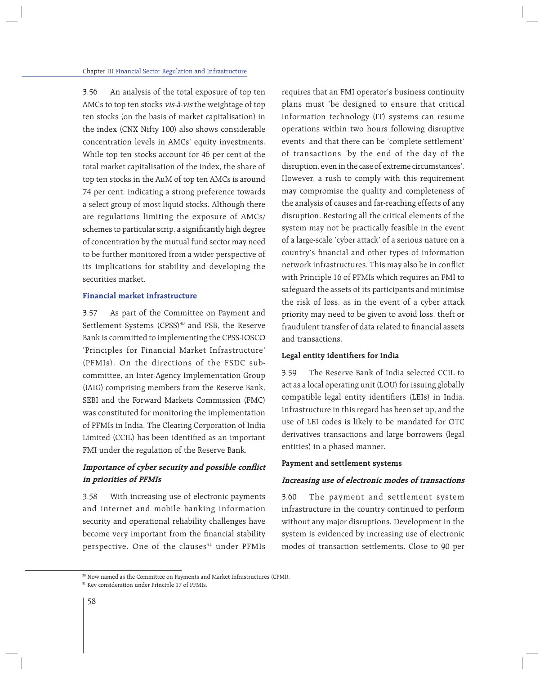3.56 An analysis of the total exposure of top ten AMCs to top ten stocks vis-à-vis the weightage of top ten stocks (on the basis of market capitalisation) in the index (CNX Nifty 100) also shows considerable concentration levels in AMCs' equity investments. While top ten stocks account for 46 per cent of the total market capitalisation of the index, the share of top ten stocks in the AuM of top ten AMCs is around 74 per cent, indicating a strong preference towards a select group of most liquid stocks. Although there are regulations limiting the exposure of AMCs/ schemes to particular scrip, a significantly high degree of concentration by the mutual fund sector may need to be further monitored from a wider perspective of its implications for stability and developing the securities market.

## **Financial market infrastructure**

3.57 As part of the Committee on Payment and Settlement Systems (CPSS)<sup>30</sup> and FSB, the Reserve Bank is committed to implementing the CPSS-IOSCO 'Principles for Financial Market Infrastructure' (PFMIs). On the directions of the FSDC subcommittee, an Inter-Agency Implementation Group (IAIG) comprising members from the Reserve Bank, SEBI and the Forward Markets Commission (FMC) was constituted for monitoring the implementation of PFMIs in India. The Clearing Corporation of India Limited (CCIL) has been identified as an important FMI under the regulation of the Reserve Bank.

## Importance of cyber security and possible conflict **in priorities of PFMIs**

3.58 With increasing use of electronic payments and internet and mobile banking information security and operational reliability challenges have become very important from the financial stability perspective. One of the clauses<sup>31</sup> under PFMIs requires that an FMI operator's business continuity plans must 'be designed to ensure that critical information technology (IT) systems can resume operations within two hours following disruptive events' and that there can be 'complete settlement' of transactions 'by the end of the day of the disruption, even in the case of extreme circumstances'. However, a rush to comply with this requirement may compromise the quality and completeness of the analysis of causes and far-reaching effects of any disruption. Restoring all the critical elements of the system may not be practically feasible in the event of a large-scale 'cyber attack' of a serious nature on a country's financial and other types of information network infrastructures. This may also be in conflict with Principle 16 of PFMIs which requires an FMI to safeguard the assets of its participants and minimise the risk of loss, as in the event of a cyber attack priority may need to be given to avoid loss, theft or fraudulent transfer of data related to financial assets and transactions.

### Legal entity identifiers for India

3.59 The Reserve Bank of India selected CCIL to act as a local operating unit (LOU) for issuing globally compatible legal entity identifiers (LEIs) in India. Infrastructure in this regard has been set up, and the use of LEI codes is likely to be mandated for OTC derivatives transactions and large borrowers (legal entities) in a phased manner.

### **Payment and settlement systems**

## **Increasing use of electronic modes of transactions**

3.60 The payment and settlement system infrastructure in the country continued to perform without any major disruptions. Development in the system is evidenced by increasing use of electronic modes of transaction settlements. Close to 90 per

<sup>30</sup> Now named as the Committee on Payments and Market Infrastructures (CPMI).

<sup>&</sup>lt;sup>31</sup> Key consideration under Principle 17 of PFMIs.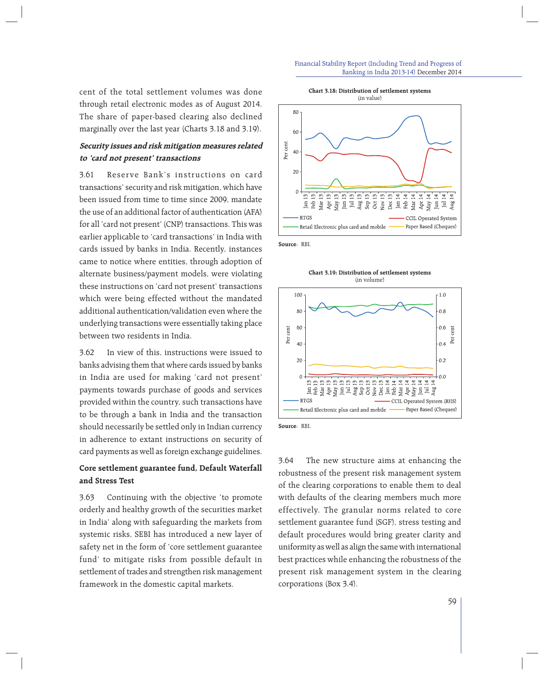cent of the total settlement volumes was done through retail electronic modes as of August 2014. The share of paper-based clearing also declined marginally over the last year (Charts 3.18 and 3.19).

## **Security issues and risk mitigation measures related to 'card not present' transactions**

3.61 Reserve Bank's instructions on card transactions' security and risk mitigation, which have been issued from time to time since 2009, mandate the use of an additional factor of authentication (AFA) for all 'card not present' (CNP) transactions. This was earlier applicable to 'card transactions' in India with cards issued by banks in India. Recently, instances came to notice where entities, through adoption of alternate business/payment models, were violating these instructions on 'card not present' transactions which were being effected without the mandated additional authentication/validation even where the underlying transactions were essentially taking place between two residents in India.

3.62 In view of this, instructions were issued to banks advising them that where cards issued by banks in India are used for making 'card not present' payments towards purchase of goods and services provided within the country, such transactions have to be through a bank in India and the transaction should necessarily be settled only in Indian currency in adherence to extant instructions on security of card payments as well as foreign exchange guidelines.

## **Core settlement guarantee fund, Default Waterfall and Stress Test**

3.63 Continuing with the objective 'to promote orderly and healthy growth of the securities market in India' along with safeguarding the markets from systemic risks, SEBI has introduced a new layer of safety net in the form of 'core settlement guarantee fund' to mitigate risks from possible default in settlement of trades and strengthen risk management framework in the domestic capital markets.





**Source**: RBI.

**Chart 3.19: Distribution of settlement systems** (in volume)





3.64 The new structure aims at enhancing the robustness of the present risk management system of the clearing corporations to enable them to deal with defaults of the clearing members much more effectively. The granular norms related to core settlement guarantee fund (SGF), stress testing and default procedures would bring greater clarity and uniformity as well as align the same with international best practices while enhancing the robustness of the present risk management system in the clearing corporations (Box 3.4).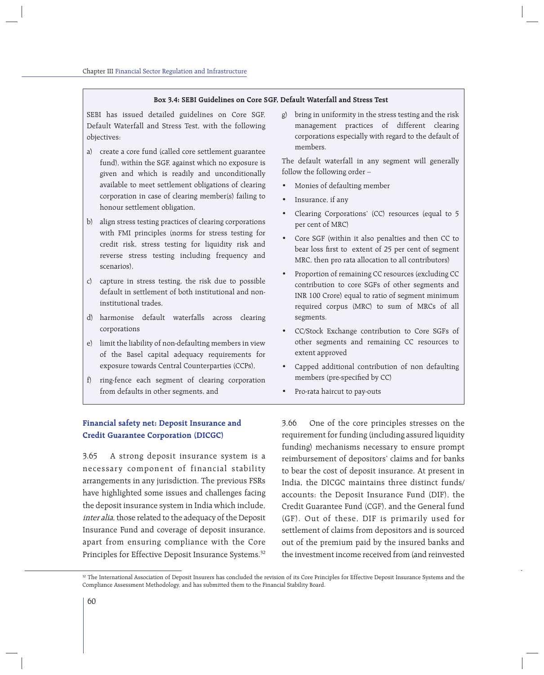### **Box 3.4: SEBI Guidelines on Core SGF, Default Waterfall and Stress Test**

SEBI has issued detailed guidelines on Core SGF, Default Waterfall and Stress Test, with the following objectives:

- a) create a core fund (called core settlement guarantee fund), within the SGF, against which no exposure is given and which is readily and unconditionally available to meet settlement obligations of clearing corporation in case of clearing member(s) failing to honour settlement obligation,
- b) align stress testing practices of clearing corporations with FMI principles (norms for stress testing for credit risk, stress testing for liquidity risk and reverse stress testing including frequency and scenarios),
- c) capture in stress testing, the risk due to possible default in settlement of both institutional and noninstitutional trades,
- d) harmonise default waterfalls across clearing corporations
- e) limit the liability of non-defaulting members in view of the Basel capital adequacy requirements for exposure towards Central Counterparties (CCPs),
- f) ring-fence each segment of clearing corporation from defaults in other segments, and

g) bring in uniformity in the stress testing and the risk management practices of different clearing corporations especially with regard to the default of members.

The default waterfall in any segment will generally follow the following order –

- Monies of defaulting member
- Insurance, if any
- Clearing Corporations' (CC) resources (equal to 5 per cent of MRC)
- Core SGF (within it also penalties and then CC to bear loss first to extent of 25 per cent of segment MRC, then pro rata allocation to all contributors)
- Proportion of remaining CC resources (excluding CC contribution to core SGFs of other segments and INR 100 Crore) equal to ratio of segment minimum required corpus (MRC) to sum of MRCs of all segments.
- CC/Stock Exchange contribution to Core SGFs of other segments and remaining CC resources to extent approved
- Capped additional contribution of non defaulting members (pre-specified by CC)
- Pro-rata haircut to pay-outs

## **Financial safety net: Deposit Insurance and Credit Guarantee Corporation (DICGC)**

3.65 A strong deposit insurance system is a necessary component of financial stability arrangements in any jurisdiction. The previous FSRs have highlighted some issues and challenges facing the deposit insurance system in India which include, inter alia, those related to the adequacy of the Deposit Insurance Fund and coverage of deposit insurance, apart from ensuring compliance with the Core Principles for Effective Deposit Insurance Systems.<sup>32</sup>

3.66 One of the core principles stresses on the requirement for funding (including assured liquidity funding) mechanisms necessary to ensure prompt reimbursement of depositors' claims and for banks to bear the cost of deposit insurance. At present in India, the DICGC maintains three distinct funds/ accounts: the Deposit Insurance Fund (DIF), the Credit Guarantee Fund (CGF), and the General fund (GF). Out of these, DIF is primarily used for settlement of claims from depositors and is sourced out of the premium paid by the insured banks and the investment income received from (and reinvested

<sup>&</sup>lt;sup>32</sup> The International Association of Deposit Insurers has concluded the revision of its Core Principles for Effective Deposit Insurance Systems and the Compliance Assessment Methodology, and has submitted them to the Financial Stability Board.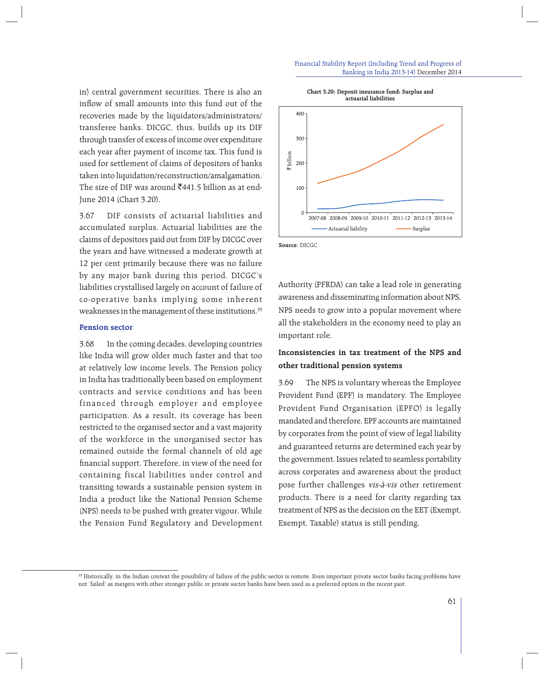in) central government securities. There is also an inflow of small amounts into this fund out of the recoveries made by the liquidators/administrators/ transferee banks. DICGC, thus, builds up its DIF through transfer of excess of income over expenditure each year after payment of income tax. This fund is used for settlement of claims of depositors of banks taken into liquidation/reconstruction/amalgamation. The size of DIF was around  $\bar{z}$ 441.5 billion as at end-June 2014 (Chart 3.20).

3.67 DIF consists of actuarial liabilities and accumulated surplus. Actuarial liabilities are the claims of depositors paid out from DIF by DICGC over the years and have witnessed a moderate growth at 12 per cent primarily because there was no failure by any major bank during this period. DICGC's liabilities crystallised largely on account of failure of co-operative banks implying some inherent weaknesses in the management of these institutions.<sup>33</sup>

## **Pension sector**

3.68 In the coming decades, developing countries like India will grow older much faster and that too at relatively low income levels. The Pension policy in India has traditionally been based on employment contracts and service conditions and has been financed through employer and employee participation. As a result, its coverage has been restricted to the organised sector and a vast majority of the workforce in the unorganised sector has remained outside the formal channels of old age financial support. Therefore, in view of the need for containing fiscal liabilities under control and transiting towards a sustainable pension system in India a product like the National Pension Scheme (NPS) needs to be pushed with greater vigour. While the Pension Fund Regulatory and Development

#### Financial Stability Report (Including Trend and Progress of Banking in India 2013-14) December 2014



**Source**: DICGC.

Authority (PFRDA) can take a lead role in generating awareness and disseminating information about NPS, NPS needs to grow into a popular movement where all the stakeholders in the economy need to play an important role.

## **Inconsistencies in tax treatment of the NPS and other traditional pension systems**

3.69 The NPS is voluntary whereas the Employee Provident Fund (EPF) is mandatory. The Employee Provident Fund Organisation (EPFO) is legally mandated and therefore, EPF accounts are maintained by corporates from the point of view of legal liability and guaranteed returns are determined each year by the government. Issues related to seamless portability across corporates and awareness about the product pose further challenges vis-à-vis other retirement products. There is a need for clarity regarding tax treatment of NPS as the decision on the EET (Exempt, Exempt, Taxable) status is still pending.

<sup>&</sup>lt;sup>33</sup> Historically, in the Indian context the possibility of failure of the public sector is remote. Even important private sector banks facing problems have not 'failed' as mergers with other stronger public or private sector banks have been used as a preferred option in the recent past.